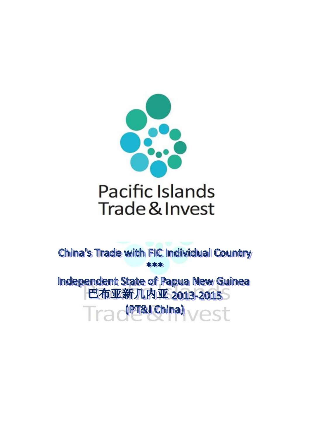

China's Trade with FIC Individual Country  $*$   $*$ 

**Independent State of Papua New Guinea** 巴布亚新几内亚 2013-2015 (PT&I China)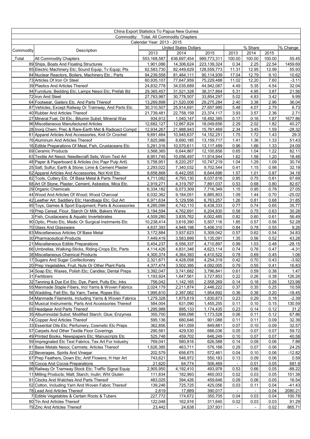|                                          |                                                                                                      | China Export Statistics To Papua New Guinea          |                          |                            |                                 |              |              |                    |
|------------------------------------------|------------------------------------------------------------------------------------------------------|------------------------------------------------------|--------------------------|----------------------------|---------------------------------|--------------|--------------|--------------------|
| Commodity: Total, All Commodity Chapters |                                                                                                      |                                                      |                          |                            |                                 |              |              |                    |
|                                          | Calendar Year: 2013 - 2015                                                                           |                                                      |                          |                            |                                 |              |              |                    |
| Commodity                                | Description                                                                                          | <b>United States Dollars</b><br>2015<br>2013<br>2014 |                          |                            | % Share<br>2013<br>2014<br>2015 |              |              | % Change           |
| Total                                    | All Commodity Chapters                                                                               | 553,168,587                                          | 636,697,454              | 989,773,311                | 100.00                          | 100.00       | 100.00       | 55.45              |
|                                          | 89 Ships, Boats And Floating Structures                                                              | 1,901,086                                            | 14,306,624               | 223,139,324                | 0.34                            | 2.25         | 22.54        | 1459.69            |
|                                          | 85 Electric Machinery Etc; Sound Equip; Tv Equip; Pts                                                | 62,583,730                                           | 82,449,629               | 128,559,773                | 11.31                           | 12.95        | 12.99        | 55.93              |
|                                          | 84 Nuclear Reactors, Boilers, Machinery Etc.; Parts                                                  | 94,239,558                                           | 81,464,111               | 90,114,939                 | 17.04                           | 12.79        | 9.10         | 10.62              |
|                                          | 73 Articles Of Iron Or Steel                                                                         | 60,935,107                                           | 77,647,959               | 75,229,488                 | 11.02                           | 12.20        | 7.60         | $-3.11$            |
|                                          | 39 Plastics And Articles Thereof                                                                     | 24,832,778                                           | 34,035,689               | 44,942,067                 | 4.49                            | 5.35         | 4.54         | 32.04              |
|                                          | 94 Furniture; Bedding Etc; Lamps Nesoi Etc; Prefab Bd                                                | 29,365,457                                           | 31,521,328               | 38,317,864                 | 5.31                            | 4.95<br>4.83 | 3.87<br>3.42 | 21.56              |
|                                          | 72 Iron And Steel<br>64 Footwear, Gaiters Etc. And Parts Thereof                                     | 27,763,987<br>13,269,898                             | 30,778,507<br>21,520,006 | 33,854,297<br>29,275,284   | 5.02<br>2.40                    | 3.38         | 2.96         | 9.99<br>36.04      |
|                                          | 87 Vehicles, Except Railway Or Tramway, And Parts Etc                                                | 30,310,507                                           | 25,914,691               | 27,657,995                 | 5.48                            | 4.07         | 2.79         | 6.73               |
|                                          | 40 Rubber And Articles Thereof                                                                       | 21,739,481                                           | 22,758,159               | 23,374,117                 | 3.93                            | 3.57         | 2.36         | 2.71               |
|                                          | 27 Mineral Fuel, Oil Etc.; Bitumin Subst; Mineral Wax                                                | 934,912                                              | 1,040,147                | 18,492,385                 | 0.17                            | 0.16         | 1.87         | 1677.86            |
|                                          | 96 Miscellaneous Manufactured Articles                                                               | 12,682,127                                           | 12,867,824               | 18,049,656                 | 2.29                            | 2.02         | 1.82         | 40.27              |
|                                          | 28 Inorg Chem: Prec & Rare-Earth Met & Radioact Compd                                                | 12,934,267                                           | 21,988,943               | 15,761,469                 | 2.34                            | 3.45         | 1.59         | $-28.32$           |
|                                          | 61 Apparel Articles And Accessories, Knit Or Crochet                                                 | 9,691,464                                            | 10,945,637               | 14, 152, 251               | 1.75                            | 1.72         | 1.43         | 29.3               |
|                                          | 76 Aluminum And Articles Thereof<br>16 Edible Preparations Of Meat, Fish, Crustaceans Etc            | 7,825,986<br>5,291,316                               | 8,690,185<br>10,570,611  | 13, 159, 717<br>13,117,489 | 1.41<br>0.96                    | 1.36<br>1.66 | 1.33<br>1.33 | 51.43<br>24.09     |
|                                          | 69 Ceramic Products                                                                                  | 3,568,365                                            | 6,644,867                | 12,100,856                 | 0.65                            | 1.04         | 1.22         | 82.11              |
|                                          | 63 Textile Art Nesoi: Needlecraft Sets: Worn Text Art                                                | 8,951,745                                            | 10,056,497               | 11,914,944                 | 1.62                            | 1.58         | 1.20         | 18.48              |
|                                          | 48 Paper & Paperboard & Articles (Inc Papr Pulp Artl)                                                | 5,758,951                                            | 8,220,257                | 10,747,219                 | 1.04                            | 1.29         | 1.09         | 30.74              |
|                                          | 25 Salt; Sulfur; Earth & Stone; Lime & Cement Plaster                                                | 2,293,022                                            | 7,340,032                | 9,702,544                  | 0.41                            | 1.15         | 0.98         | 32.19              |
|                                          | 62 Apparel Articles And Accessories, Not Knit Etc.                                                   | 8,658,868                                            | 6,442,055                | 8,644,696                  | 1.57                            | 1.01         | 0.87         | 34.19              |
|                                          | 82 Tools, Cutlery Etc. Of Base Metal & Parts Thereof                                                 | 4,711,082                                            | 4,793,130                | 8,037,616                  | 0.85                            | 0.75         | 0.81         | 67.69              |
|                                          | 68 Art Of Stone, Plaster, Cement, Asbestos, Mica Etc.                                                | 2,919,271                                            | 4,319,797                | 7,891,037                  | 0.53                            | 0.68         | 0.80<br>0.78 | 82.67              |
|                                          | 29 Organic Chemicals<br>44 Wood And Articles Of Wood; Wood Charcoal                                  | 6,334,182<br>6,032,362                               | 6,073,309<br>9,184,051   | 7,716,349<br>6,885,803     | 1.15<br>1.09                    | 0.95<br>1.44 | 0.70         | 27.05<br>$-25.02$  |
|                                          | 42 Leather Art; Saddlery Etc; Handbags Etc; Gut Art                                                  | 6,971,634                                            | 5,129,556                | 6,763,257                  | 1.26                            | 0.81         | 0.68         | 31.85              |
|                                          | 95 Toys, Games & Sport Equipment; Parts & Accessories                                                | 4,285,099                                            | 4,742,110                | 6,438,333                  | 0.77                            | 0.74         | 0.65         | 35.77              |
|                                          | 19 Prep Cereal, Flour, Starch Or Milk; Bakers Wares                                                  | 3,194,594                                            | 4,762,691                | 6,204,830                  | 0.58                            | 0.75         | 0.63         | 30.28              |
|                                          | 3 Fish, Crustaceans & Aquatic Invertebrates                                                          | 4,509,280                                            | 3,835,762                | 6,002,485                  | 0.82                            | 0.60         | 0.61         | 56.49              |
|                                          | 90 Optic, Photo Etc, Medic Or Surgical Instrments Etc                                                | 10,238,414                                           | 3,616,390                | 5,507,116                  | 1.85                            | 0.57         | 0.56         | 52.28              |
|                                          | 70 Glass And Glassware                                                                               | 4,637,393                                            | 4,948,198                | 5,406,310                  | 0.84                            | 0.78         | 0.55         | 9.26               |
|                                          | 83 Miscellaneous Articles Of Base Metal<br>30 Pharmaceutical Products                                | 3,172,884<br>7,449,419                               | 3,937,623<br>3,583,899   | 5,309,042<br>5,135,091     | 0.57<br>1.35                    | 0.62<br>0.56 | 0.54<br>0.52 | 34.83<br>43.28     |
|                                          | 21 Miscellaneous Edible Preparations                                                                 | 5,454,237                                            | 6,556,337                | 4,710,897                  | 0.99                            | 1.03         | 0.48         | $-28.15$           |
|                                          | 66 Umbrellas, Walking-Sticks, Riding-Crops Etc, Parts                                                | 4,114,426                                            | 4,831,346                | 4,623,114                  | 0.74                            | 0.76         | 0.47         | $-4.31$            |
|                                          | 38 Miscellaneous Chemical Products                                                                   | 4,300,374                                            | 4,364,393                | 4,410,522                  | 0.78                            | 0.69         | 0.45         | 1.06               |
|                                          | 17 Sugars And Sugar Confectionary                                                                    | 2,321,671                                            | 4,428,058                | 4,254,319                  | 0.42                            | 0.70         | 0.43         | $-3.92$            |
|                                          | 20 Prep Vegetables, Fruit, Nuts Or Other Plant Parts                                                 | 4,377,474                                            | 3,502,395                | 4,092,005                  | 0.79                            | 0.55         | 0.41         | 16.83              |
|                                          | 34 Soap Etc; Waxes, Polish Etc; Candles; Dental Preps                                                | 3,392,047                                            | 3,741,682                | 3,796,841                  | 0.61                            | 0.59         | 0.38         | 1.47               |
|                                          | 31 Fertilizers<br>32 Tanning & Dye Ext Etc; Dye, Paint, Putty Etc; Inks                              | 1,193,924<br>756,042                                 | 1,647,561<br>1,142,165   | 3,727,853<br>2,558,269     | 0.22<br>0.14                    | 0.26<br>0.18 | 0.38<br>0.26 | 126.26<br>123.98   |
|                                          | 55 Manmade Staple Fibers, Incl Yarns & Woven Fabrics                                                 | 2,024,179                                            | 2,211,874                | 2,446,222                  | 0.37                            | 0.35         | 0.25         | 10.59              |
|                                          | 56 Wadding, Felt Etc; Sp Yarn; Twine, Ropes Etc.                                                     | 1,995,810                                            | 2,397,062                | 1,954,692                  | 0.36                            | 0.38         | 0.20         | $-18.45$           |
|                                          | 54 Manmade Filaments, Including Yarns & Woven Fabrics                                                | 1,279,328                                            | 1,875,619                | 1,830,873                  | 0.23                            | 0.29         | 0.18         | $-2.39$            |
|                                          | 92 Musical Instruments; Parts And Accessories Thereof                                                | 584,004                                              | 631,090                  | 1,455,255                  | 0.11                            | 0.10         | 0.15         | 130.59             |
|                                          | 65 Headgear And Parts Thereof                                                                        | 1,295,988                                            | 895,133                  | 1,174,435                  | 0.23                            | 0.14         | 0.12         | 31.2               |
|                                          | 35 Albuminoidal Subst; Modified Starch; Glue; Enzymes                                                | 355,700                                              | 699,098                  | 1,173,528                  | 0.06                            | 0.11         | 0.12         | 67.86              |
|                                          | 74 Copper And Articles Thereof                                                                       | 595,136                                              | 680,646                  | 901,088                    | 0.11                            | 0.11         | 0.09         | 32.39              |
|                                          | 33 Essential Oils Etc; Perfumery, Cosmetic Etc Preps<br>57 Carpets And Other Textile Floor Coverings | 362,856<br>290,561                                   | 641,059<br>429,530       | 849,881<br>686,036         | 0.07<br>0.05                    | 0.10<br>0.07 | 0.09<br>0.07 | 32.57<br>59.72     |
|                                          | 49 Printed Books, Newspapers Etc; Manuscripts Etc                                                    | 525,748                                              | 459,702                  | 646,249                    | 0.10                            | 0.07         | 0.07         | 40.58              |
|                                          | 59 Impregnated Etc Text Fabrics; Tex Art For Industry                                                | 769,041                                              | 580,816                  | 626,588                    | 0.14                            | 0.09         | 0.06         | 7.88               |
|                                          | 81 Base Metals Nesoi; Cermets; Articles Thereof                                                      | 1,626,385                                            | 463,711                  | 576,168                    | 0.29                            | 0.07         | 0.06         | 24.25              |
|                                          | 22 Beverages, Spirits And Vinegar                                                                    | 202,579                                              | 656,675                  | 572,461                    | 0.04                            | 0.10         | 0.06         | $-12.82$           |
|                                          | 67 Prep Feathers, Down Etc; Artif Flowers; H Hair Art                                                | 743,621                                              | 546,972                  | 550,183                    | 0.13                            | 0.09         | 0.06         | 0.59               |
|                                          | 18 Cocoa And Cocoa Preparations                                                                      | 21,620                                               | 64,774                   | 506,469                    |                                 | 0.01         | 0.05         | 681.9              |
|                                          | 86 Railway Or Tramway Stock Etc; Traffic Signal Equip                                                | 2,905,950                                            | 4,192,410                | 493,978                    | 0.53                            | 0.66         | 0.05<br>0.05 | $-88.22$<br>151.38 |
|                                          | 11 Milling Products; Malt; Starch; Inulin; Wht Gluten<br>91 Clocks And Watches And Parts Thereof     | 111,834<br>483,025                                   | 182,993<br>394,426       | 460,003<br>459,646         | 0.02<br>0.09                    | 0.03<br>0.06 | 0.05         | 16.54              |
|                                          | 52 Cotton, Including Yarn And Woven Fabric Thereof                                                   | 139,246                                              | 725,725                  | 425,056                    | 0.03                            | 0.11         | 0.04         | $-41.43$           |
|                                          | 78 Lead And Articles Thereof                                                                         | 2,619                                                | 17,889                   | 390,017                    | $\sim$                          |              | 0.04         | 2080.21            |
|                                          | 7 Edible Vegetables & Certain Roots & Tubers                                                         | 227,772                                              | 174,672                  | 350,705                    | 0.04                            | 0.03         | 0.04         | 100.78             |
|                                          | 80 Tin And Articles Thereof                                                                          | 122,048                                              | 162,916                  | 311,640                    | 0.02                            | 0.03         | 0.03         | 91.29              |
|                                          | 79 Zinc And Articles Thereof                                                                         | 23,442                                               | 24,638                   | 237,931                    |                                 |              | 0.02         | 865.71             |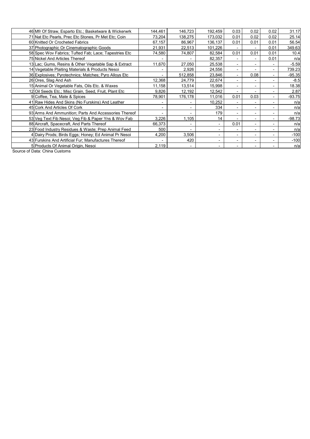| 46 Mfr Of Straw, Esparto Etc.; Basketware & Wickerwrk  | 144,461 | 146,723                  | 192,459                  | 0.03                     | 0.02 | 0.02 | 31.17    |
|--------------------------------------------------------|---------|--------------------------|--------------------------|--------------------------|------|------|----------|
| 71 Nat Etc Pearls, Prec Etc Stones, Pr Met Etc; Coin   | 73,204  | 138,275                  | 173,032                  | 0.01                     | 0.02 | 0.02 | 25.14    |
| 60 Knitted Or Crocheted Fabrics                        | 67,157  | 86,967                   | 136,137                  | 0.01                     | 0.01 | 0.01 | 56.54    |
| 37 Photographic Or Cinematographic Goods               | 21,931  | 22,513                   | 101.226                  | $\overline{\phantom{a}}$ |      | 0.01 | 349.63   |
| 58 Spec Wov Fabrics; Tufted Fab; Lace; Tapestries Etc  | 74,580  | 74,807                   | 82,584                   | 0.01                     | 0.01 | 0.01 | 10.4     |
| 75 Nickel And Articles Thereof                         |         |                          | 82,357                   | $\overline{\phantom{0}}$ |      | 0.01 | n/a      |
| 13 Lac; Gums, Resins & Other Vegetable Sap & Extract   | 11,670  | 27,050                   | 25,538                   | $\overline{\phantom{a}}$ |      |      | $-5.59$  |
| 14 Vegetable Plaiting Materials & Products Nesoi       |         | 2,926                    | 24,556                   | $\overline{\phantom{a}}$ |      |      | 739.23   |
| 36 Explosives; Pyrotechnics; Matches; Pyro Alloys Etc  |         | 512,858                  | 23,846                   | $\overline{\phantom{a}}$ | 0.08 |      | $-95.35$ |
| 26 Ores, Slag And Ash                                  | 12,368  | 24.779                   | 22,674                   | $\overline{\phantom{0}}$ |      |      | $-8.5$   |
| 15 Animal Or Vegetable Fats, Oils Etc. & Waxes         | 11,158  | 13,514                   | 15,998                   |                          |      |      | 18.38    |
| 12 Oil Seeds Etc.; Misc Grain, Seed, Fruit, Plant Etc. | 9,826   | 12,192                   | 12,542                   | $\overline{\phantom{a}}$ |      |      | 2.87     |
| 9 Coffee, Tea, Mate & Spices                           | 78,901  | 176,178                  | 11,016                   | 0.01                     | 0.03 |      | $-93.75$ |
| 41 Raw Hides And Skins (No Furskins) And Leather       |         |                          | 10,252                   | $\overline{\phantom{a}}$ |      |      | n/a      |
| 45 Cork And Articles Of Cork                           |         | $\overline{\phantom{0}}$ | 334                      | $\overline{\phantom{a}}$ |      |      | n/a      |
| 93 Arms And Ammunition; Parts And Accessories Thereof  |         |                          | 179                      | $\overline{\phantom{a}}$ |      |      | n/a      |
| 53 Veg Text Fib Nesoi; Veg Fib & Paper Yns & Wov Fab   | 3,226   | 1,105                    | 14                       |                          |      |      | $-98.73$ |
| 88 Aircraft, Spacecraft, And Parts Thereof             | 66,373  | $\overline{\phantom{a}}$ | $\overline{\phantom{0}}$ | 0.01                     |      |      | n/a      |
| 23 Food Industry Residues & Waste; Prep Animal Feed    | 500     | $\overline{\phantom{a}}$ |                          | $\overline{\phantom{a}}$ |      |      | n/a      |
| 4 Dairy Prods; Birds Eggs; Honey; Ed Animal Pr Nesoi   | 4,200   | 3,506                    |                          |                          |      |      | $-100$   |
| 43 Furskins And Artificial Fur; Manufactures Thereof   |         | 420                      | $\overline{\phantom{0}}$ |                          |      |      | $-100$   |
| 5 Products Of Animal Origin, Nesoi                     | 2,119   | $\overline{\phantom{0}}$ | $\overline{\phantom{0}}$ | $\overline{\phantom{a}}$ |      |      | n/a      |
|                                                        |         |                          |                          |                          |      |      |          |

Source of Data: China Customs